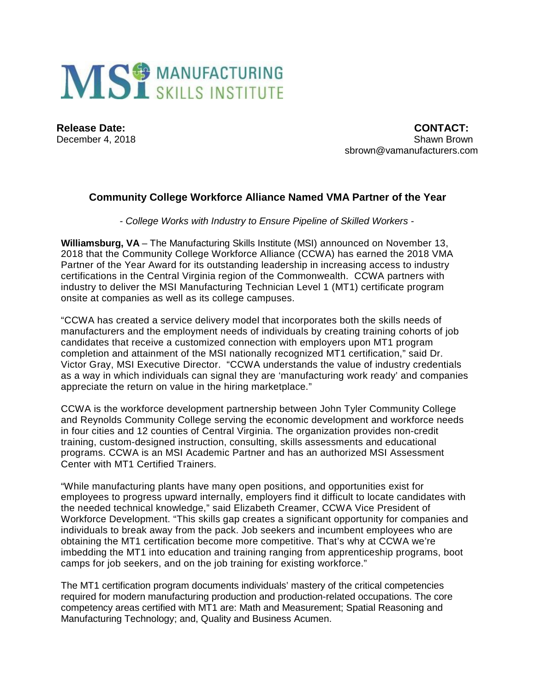

December 4, 2018

**Release Date:** CONTACT: CONTACT: CONTACT: CONTACT: CONTACT: CONTACT: CONTACT: CONTACT: CONTACT: CONTACT: CONTACT: CONTACT: CONTACT: CONTACT: CONTACT: CONTACT: CONTACT: CONTACT: CONTACT: CONTACT: CONTACT: CONTACT: CONTACT: sbrown@vamanufacturers.com

## **Community College Workforce Alliance Named VMA Partner of the Year**

*- College Works with Industry to Ensure Pipeline of Skilled Workers -*

**Williamsburg, VA** – The Manufacturing Skills Institute (MSI) announced on November 13, 2018 that the Community College Workforce Alliance (CCWA) has earned the 2018 VMA Partner of the Year Award for its outstanding leadership in increasing access to industry certifications in the Central Virginia region of the Commonwealth. CCWA partners with industry to deliver the MSI Manufacturing Technician Level 1 (MT1) certificate program onsite at companies as well as its college campuses.

"CCWA has created a service delivery model that incorporates both the skills needs of manufacturers and the employment needs of individuals by creating training cohorts of job candidates that receive a customized connection with employers upon MT1 program completion and attainment of the MSI nationally recognized MT1 certification," said Dr. Victor Gray, MSI Executive Director. "CCWA understands the value of industry credentials as a way in which individuals can signal they are 'manufacturing work ready' and companies appreciate the return on value in the hiring marketplace."

CCWA is the workforce development partnership between John Tyler Community College and Reynolds Community College serving the economic development and workforce needs in four cities and 12 counties of Central Virginia. The organization provides non-credit training, custom-designed instruction, consulting, skills assessments and educational programs. CCWA is an MSI Academic Partner and has an authorized MSI Assessment Center with MT1 Certified Trainers.

"While manufacturing plants have many open positions, and opportunities exist for employees to progress upward internally, employers find it difficult to locate candidates with the needed technical knowledge," said Elizabeth Creamer, CCWA Vice President of Workforce Development. "This skills gap creates a significant opportunity for companies and individuals to break away from the pack. Job seekers and incumbent employees who are obtaining the MT1 certification become more competitive. That's why at CCWA we're imbedding the MT1 into education and training ranging from apprenticeship programs, boot camps for job seekers, and on the job training for existing workforce."

The MT1 certification program documents individuals' mastery of the critical competencies required for modern manufacturing production and production-related occupations. The core competency areas certified with MT1 are: Math and Measurement; Spatial Reasoning and Manufacturing Technology; and, Quality and Business Acumen.